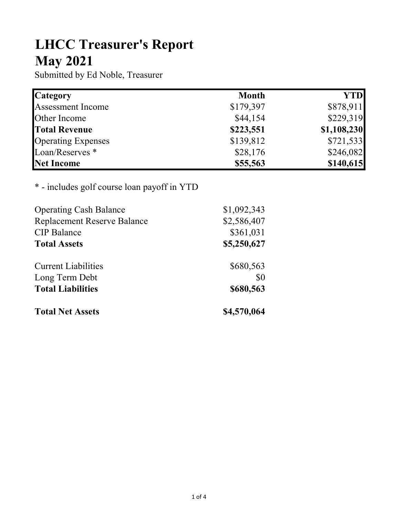## LHCC Treasurer's Report May 2021

Submitted by Ed Noble, Treasurer

| <b>Category</b>            | <b>Month</b> | <b>YTD</b>  |
|----------------------------|--------------|-------------|
| <b>Assessment Income</b>   | \$179,397    | \$878,911   |
| Other Income               | \$44,154     | \$229,319   |
| <b>Total Revenue</b>       | \$223,551    | \$1,108,230 |
| <b>Operating Expenses</b>  | \$139,812    | \$721,533   |
| Loan/Reserves <sup>*</sup> | \$28,176     | \$246,082   |
| Net Income                 | \$55,563     | \$140,615   |

## \* - includes golf course loan payoff in YTD

| <b>Operating Cash Balance</b>      | \$1,092,343 |
|------------------------------------|-------------|
| <b>Replacement Reserve Balance</b> | \$2,586,407 |
| <b>CIP</b> Balance                 | \$361,031   |
| <b>Total Assets</b>                | \$5,250,627 |
| <b>Current Liabilities</b>         | \$680,563   |
| Long Term Debt                     | \$0         |
| <b>Total Liabilities</b>           | \$680,563   |
| <b>Total Net Assets</b>            | \$4,570,064 |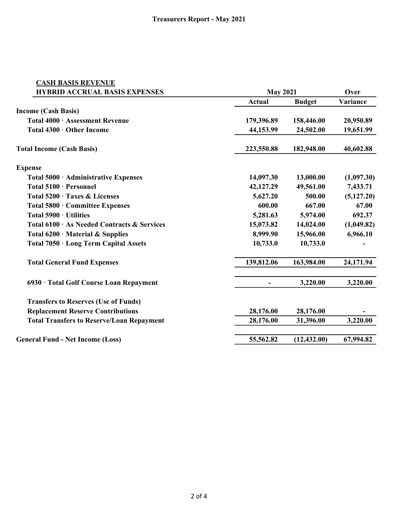| <b>CASH BASIS REVENUE</b>                        |                                 |                                 |                               |  |
|--------------------------------------------------|---------------------------------|---------------------------------|-------------------------------|--|
| <b>HYBRID ACCRUAL BASIS EXPENSES</b>             |                                 | <b>May 2021</b>                 |                               |  |
|                                                  | Actual                          | <b>Budget</b>                   | Variance                      |  |
| <b>Income (Cash Basis)</b>                       |                                 |                                 |                               |  |
| Total 4000 · Assessment Revenue                  | 179,396.89                      | 158,446.00                      | 20,950.89                     |  |
| Total 4300 · Other Income                        | 44,153.99                       | 24,502.00                       | 19,651.99                     |  |
| <b>Total Income (Cash Basis)</b>                 | 223,550.88                      | 182,948.00                      | 40,602.88                     |  |
| <b>Expense</b>                                   |                                 |                                 |                               |  |
| Total 5000 · Administrative Expenses             | 14,097.30                       | 13,000.00                       | (1,097.30)                    |  |
| Total 5100 · Personnel                           | 42,127.29                       | 49,561.00                       | 7,433.71                      |  |
| Total 5200 · Taxes & Licenses                    | 5,627.20                        | 500.00                          | (5, 127.20)                   |  |
| Total 5800 · Committee Expenses                  | 600.00<br>5,281.63<br>15,073.82 | 667.00<br>5,974.00<br>14,024.00 | 67.00<br>692.37<br>(1,049.82) |  |
| Total 5900 · Utilities                           |                                 |                                 |                               |  |
| Total 6100 · As Needed Contracts & Services      |                                 |                                 |                               |  |
| Total $6200 \cdot$ Material & Supplies           | 8,999.90                        | 15,966.00                       | 6,966.10                      |  |
| Total 7050 · Long Term Capital Assets            | 10,733.0                        | 10,733.0                        |                               |  |
| <b>Total General Fund Expenses</b>               | 139,812.06                      | 163,984.00                      | 24,171.94                     |  |
| 6930 · Total Golf Course Loan Repayment          |                                 | 3,220.00                        | 3,220.00                      |  |
| <b>Transfers to Reserves (Use of Funds)</b>      |                                 |                                 |                               |  |
| <b>Replacement Reserve Contributions</b>         | 28,176.00                       | 28,176.00                       |                               |  |
| <b>Total Transfers to Reserve/Loan Repayment</b> | 28,176.00                       | 31,396.00                       | 3,220.00                      |  |
| <b>General Fund - Net Income (Loss)</b>          | 55,562.82                       | (12, 432.00)                    | 67,994.82                     |  |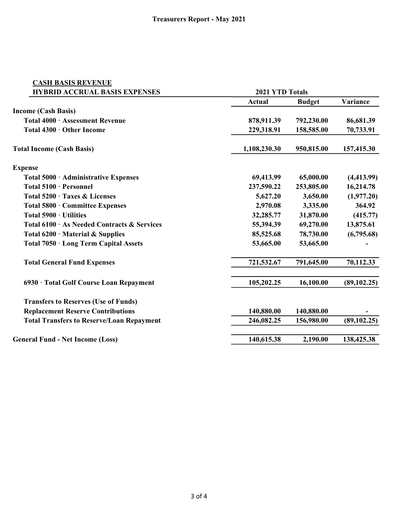| <b>CASH BASIS REVENUE</b>                        |                      |               |              |
|--------------------------------------------------|----------------------|---------------|--------------|
| <b>HYBRID ACCRUAL BASIS EXPENSES</b>             | 2021 YTD Totals      |               |              |
|                                                  | <b>Actual</b>        | <b>Budget</b> | Variance     |
| <b>Income (Cash Basis)</b>                       |                      |               |              |
| Total 4000 · Assessment Revenue                  | 878,911.39           | 792,230.00    | 86,681.39    |
| Total 4300 · Other Income                        | 229,318.91           | 158,585.00    | 70,733.91    |
| <b>Total Income (Cash Basis)</b>                 | 1,108,230.30         | 950,815.00    | 157,415.30   |
| <b>Expense</b>                                   |                      |               |              |
| Total 5000 · Administrative Expenses             | 69,413.99            | 65,000.00     | (4, 413.99)  |
| Total 5100 · Personnel                           | 237,590.22           | 253,805.00    | 16,214.78    |
| Total 5200 · Taxes & Licenses                    | 5,627.20<br>3,650.00 |               | (1,977.20)   |
| Total 5800 · Committee Expenses                  | 2,970.08<br>3,335.00 |               | 364.92       |
| Total 5900 · Utilities                           | 32,285.77            | 31,870.00     | (415.77)     |
| Total 6100 · As Needed Contracts & Services      | 55,394.39            | 69,270.00     | 13,875.61    |
| Total $6200 \cdot$ Material & Supplies           | 85,525.68            | 78,730.00     | (6,795.68)   |
| Total 7050 · Long Term Capital Assets            | 53,665.00            | 53,665.00     |              |
| <b>Total General Fund Expenses</b>               | 721,532.67           | 791,645.00    | 70,112.33    |
| 6930 · Total Golf Course Loan Repayment          | 105,202.25           | 16,100.00     | (89, 102.25) |
| <b>Transfers to Reserves (Use of Funds)</b>      |                      |               |              |
| <b>Replacement Reserve Contributions</b>         | 140,880.00           | 140,880.00    |              |
| <b>Total Transfers to Reserve/Loan Repayment</b> | 246,082.25           | 156,980.00    | (89, 102.25) |
| <b>General Fund - Net Income (Loss)</b>          | 140,615.38           | 2,190.00      | 138,425.38   |